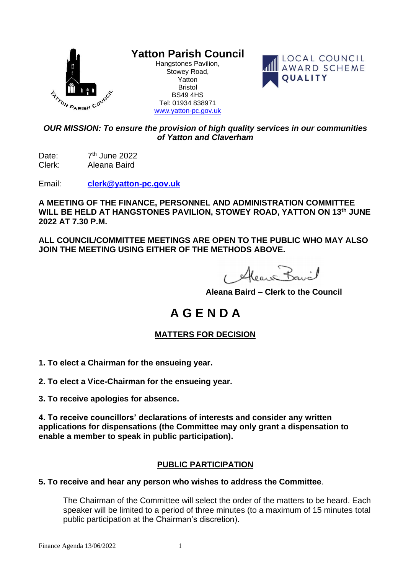

# **Yatton Parish Council**

Hangstones Pavilion, Stowey Road, Yatton Bristol BS49 4HS Tel: 01934 838971 [www.yatton-pc.gov.uk](http://www.yatton-pc.gov.uk/)



## *OUR MISSION: To ensure the provision of high quality services in our communities of Yatton and Claverham*

Date: 7<sup>th</sup> June 2022 Clerk: Aleana Baird

Email: **[clerk@yatton-pc.gov.uk](mailto:clerk@yatton-pc.gov.uk)**

**A MEETING OF THE FINANCE, PERSONNEL AND ADMINISTRATION COMMITTEE WILL BE HELD AT HANGSTONES PAVILION, STOWEY ROAD, YATTON ON 13 th JUNE 2022 AT 7.30 P.M.**

**ALL COUNCIL/COMMITTEE MEETINGS ARE OPEN TO THE PUBLIC WHO MAY ALSO JOIN THE MEETING USING EITHER OF THE METHODS ABOVE.**

Heave Bavil

 **Aleana Baird – Clerk to the Council**

# **A G E N D A**

## **MATTERS FOR DECISION**

- **1. To elect a Chairman for the ensueing year.**
- **2. To elect a Vice-Chairman for the ensueing year.**
- **3. To receive apologies for absence.**

**4. To receive councillors' declarations of interests and consider any written applications for dispensations (the Committee may only grant a dispensation to enable a member to speak in public participation).**

## **PUBLIC PARTICIPATION**

#### **5. To receive and hear any person who wishes to address the Committee**.

The Chairman of the Committee will select the order of the matters to be heard. Each speaker will be limited to a period of three minutes (to a maximum of 15 minutes total public participation at the Chairman's discretion).